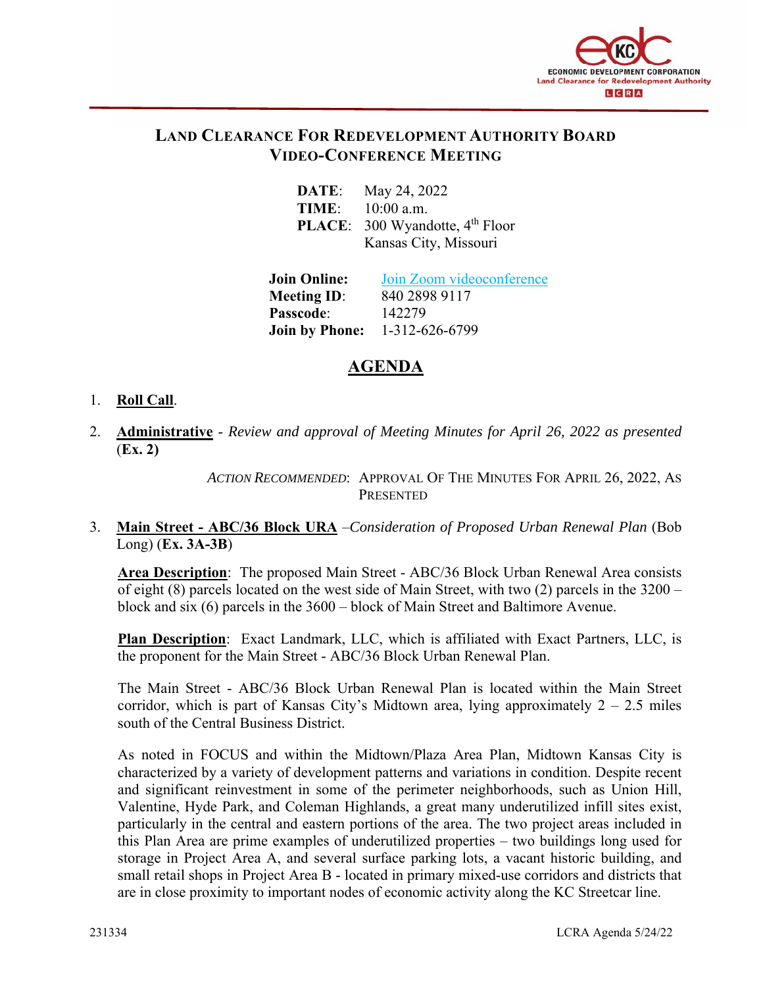

### **LAND CLEARANCE FOR REDEVELOPMENT AUTHORITY BOARD VIDEO-CONFERENCE MEETING**

| DATE: | May 24, 2022                                |
|-------|---------------------------------------------|
| TIME: | $10:00$ a.m.                                |
|       | PLACE: 300 Wyandotte, 4 <sup>th</sup> Floor |
|       | Kansas City, Missouri                       |

**Join Online:** Join Zoom videoconference **Meeting ID:** 840 2898 9117 **Passcode**: 142279 **Join by Phone:** 1-312-626-6799

# **AGENDA**

#### 1. **Roll Call**.

2. **Administrative** - *Review and approval of Meeting Minutes for April 26, 2022 as presented* (**Ex. 2)**

> *ACTION RECOMMENDED*: APPROVAL OF THE MINUTES FOR APRIL 26, 2022, AS PRESENTED

#### 3. **Main Street - ABC/36 Block URA** –*Consideration of Proposed Urban Renewal Plan* (Bob Long) (**Ex. 3A-3B**)

**Area Description**: The proposed Main Street - ABC/36 Block Urban Renewal Area consists of eight (8) parcels located on the west side of Main Street, with two (2) parcels in the 3200 – block and six (6) parcels in the 3600 – block of Main Street and Baltimore Avenue.

**Plan Description**: Exact Landmark, LLC, which is affiliated with Exact Partners, LLC, is the proponent for the Main Street - ABC/36 Block Urban Renewal Plan.

The Main Street - ABC/36 Block Urban Renewal Plan is located within the Main Street corridor, which is part of Kansas City's Midtown area, lying approximately  $2 - 2.5$  miles south of the Central Business District.

As noted in FOCUS and within the Midtown/Plaza Area Plan, Midtown Kansas City is characterized by a variety of development patterns and variations in condition. Despite recent and significant reinvestment in some of the perimeter neighborhoods, such as Union Hill, Valentine, Hyde Park, and Coleman Highlands, a great many underutilized infill sites exist, particularly in the central and eastern portions of the area. The two project areas included in this Plan Area are prime examples of underutilized properties – two buildings long used for storage in Project Area A, and several surface parking lots, a vacant historic building, and small retail shops in Project Area B - located in primary mixed-use corridors and districts that are in close proximity to important nodes of economic activity along the KC Streetcar line.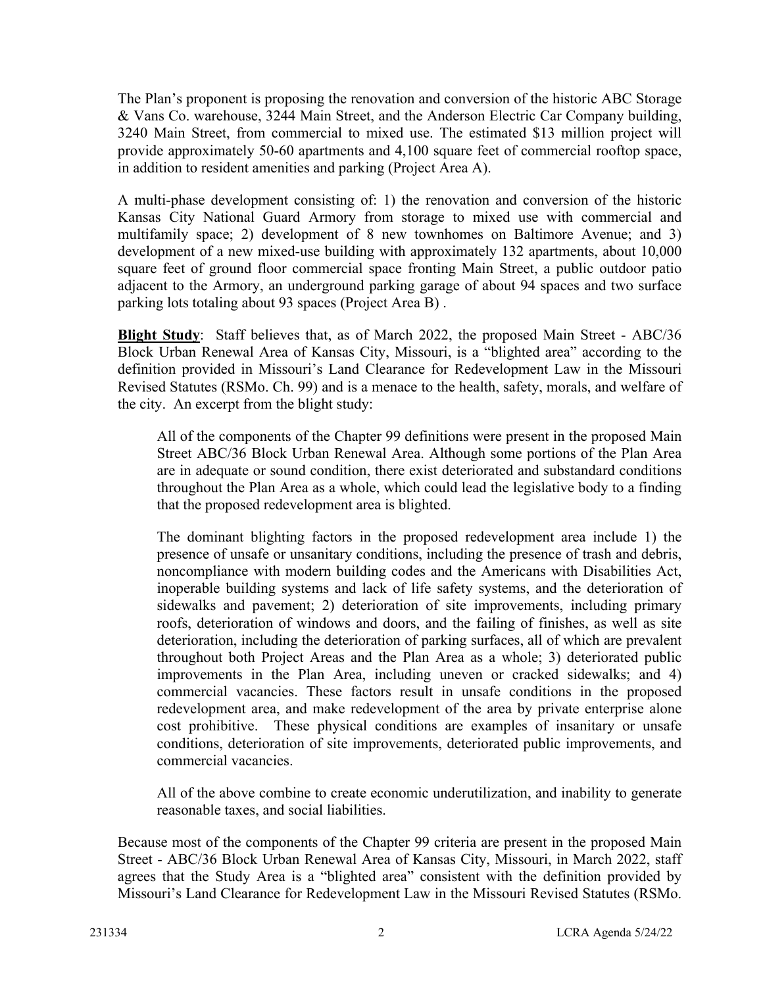The Plan's proponent is proposing the renovation and conversion of the historic ABC Storage & Vans Co. warehouse, 3244 Main Street, and the Anderson Electric Car Company building, 3240 Main Street, from commercial to mixed use. The estimated \$13 million project will provide approximately 50-60 apartments and 4,100 square feet of commercial rooftop space, in addition to resident amenities and parking (Project Area A).

A multi-phase development consisting of: 1) the renovation and conversion of the historic Kansas City National Guard Armory from storage to mixed use with commercial and multifamily space; 2) development of 8 new townhomes on Baltimore Avenue; and 3) development of a new mixed-use building with approximately 132 apartments, about 10,000 square feet of ground floor commercial space fronting Main Street, a public outdoor patio adjacent to the Armory, an underground parking garage of about 94 spaces and two surface parking lots totaling about 93 spaces (Project Area B) .

**Blight Study**: Staff believes that, as of March 2022, the proposed Main Street - ABC/36 Block Urban Renewal Area of Kansas City, Missouri, is a "blighted area" according to the definition provided in Missouri's Land Clearance for Redevelopment Law in the Missouri Revised Statutes (RSMo. Ch. 99) and is a menace to the health, safety, morals, and welfare of the city. An excerpt from the blight study:

All of the components of the Chapter 99 definitions were present in the proposed Main Street ABC/36 Block Urban Renewal Area. Although some portions of the Plan Area are in adequate or sound condition, there exist deteriorated and substandard conditions throughout the Plan Area as a whole, which could lead the legislative body to a finding that the proposed redevelopment area is blighted.

The dominant blighting factors in the proposed redevelopment area include 1) the presence of unsafe or unsanitary conditions, including the presence of trash and debris, noncompliance with modern building codes and the Americans with Disabilities Act, inoperable building systems and lack of life safety systems, and the deterioration of sidewalks and pavement; 2) deterioration of site improvements, including primary roofs, deterioration of windows and doors, and the failing of finishes, as well as site deterioration, including the deterioration of parking surfaces, all of which are prevalent throughout both Project Areas and the Plan Area as a whole; 3) deteriorated public improvements in the Plan Area, including uneven or cracked sidewalks; and 4) commercial vacancies. These factors result in unsafe conditions in the proposed redevelopment area, and make redevelopment of the area by private enterprise alone cost prohibitive. These physical conditions are examples of insanitary or unsafe conditions, deterioration of site improvements, deteriorated public improvements, and commercial vacancies.

All of the above combine to create economic underutilization, and inability to generate reasonable taxes, and social liabilities.

Because most of the components of the Chapter 99 criteria are present in the proposed Main Street - ABC/36 Block Urban Renewal Area of Kansas City, Missouri, in March 2022, staff agrees that the Study Area is a "blighted area" consistent with the definition provided by Missouri's Land Clearance for Redevelopment Law in the Missouri Revised Statutes (RSMo.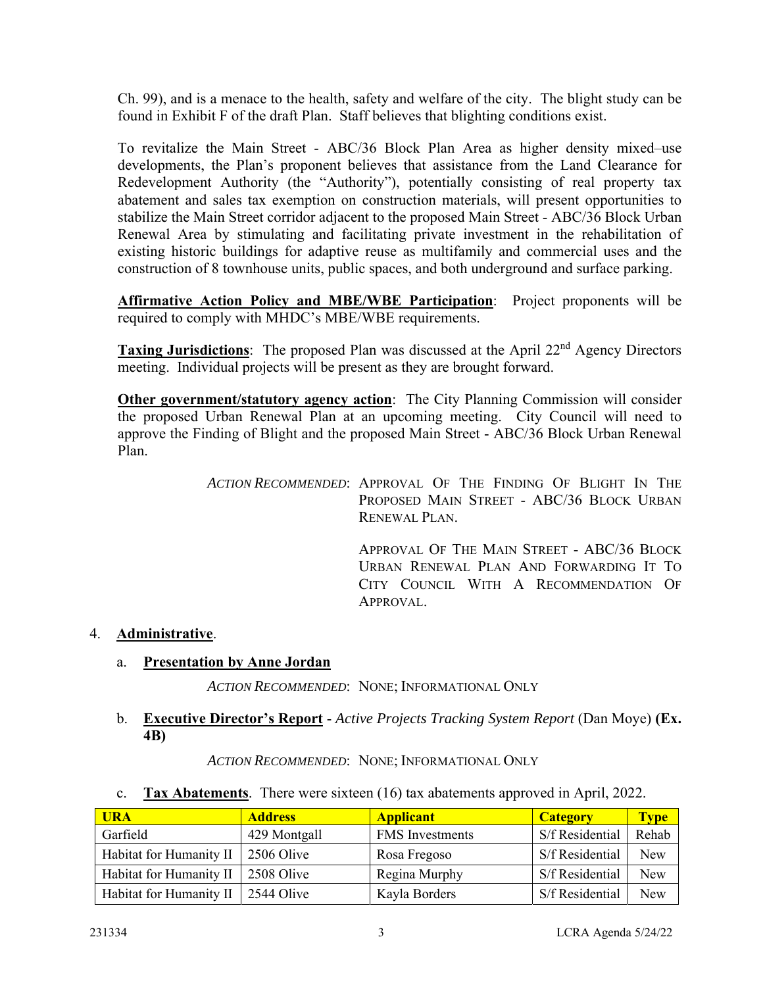Ch. 99), and is a menace to the health, safety and welfare of the city. The blight study can be found in Exhibit F of the draft Plan. Staff believes that blighting conditions exist.

To revitalize the Main Street - ABC/36 Block Plan Area as higher density mixed–use developments, the Plan's proponent believes that assistance from the Land Clearance for Redevelopment Authority (the "Authority"), potentially consisting of real property tax abatement and sales tax exemption on construction materials, will present opportunities to stabilize the Main Street corridor adjacent to the proposed Main Street - ABC/36 Block Urban Renewal Area by stimulating and facilitating private investment in the rehabilitation of existing historic buildings for adaptive reuse as multifamily and commercial uses and the construction of 8 townhouse units, public spaces, and both underground and surface parking.

**Affirmative Action Policy and MBE/WBE Participation**: Project proponents will be required to comply with MHDC's MBE/WBE requirements.

**Taxing Jurisdictions**: The proposed Plan was discussed at the April 22<sup>nd</sup> Agency Directors meeting. Individual projects will be present as they are brought forward.

**Other government/statutory agency action**: The City Planning Commission will consider the proposed Urban Renewal Plan at an upcoming meeting. City Council will need to approve the Finding of Blight and the proposed Main Street - ABC/36 Block Urban Renewal Plan.

> *ACTION RECOMMENDED*: APPROVAL OF THE FINDING OF BLIGHT IN THE PROPOSED MAIN STREET - ABC/36 BLOCK URBAN RENEWAL PLAN.

> > APPROVAL OF THE MAIN STREET - ABC/36 BLOCK URBAN RENEWAL PLAN AND FORWARDING IT TO CITY COUNCIL WITH A RECOMMENDATION OF APPROVAL.

#### 4. **Administrative**.

#### a. **Presentation by Anne Jordan**

*ACTION RECOMMENDED*: NONE; INFORMATIONAL ONLY

#### b. **Executive Director's Report** - *Active Projects Tracking System Report* (Dan Moye) **(Ex. 4B)**

*ACTION RECOMMENDED*: NONE; INFORMATIONAL ONLY

c. **Tax Abatements**. There were sixteen (16) tax abatements approved in April, 2022.

| <b>URA</b>              | <b>Address</b> | <b>Applicant</b>       | <b>Category</b> | <b>Type</b> |
|-------------------------|----------------|------------------------|-----------------|-------------|
| Garfield                | 429 Montgall   | <b>FMS</b> Investments | S/f Residential | Rehab       |
| Habitat for Humanity II | 2506 Olive     | Rosa Fregoso           | S/f Residential | <b>New</b>  |
| Habitat for Humanity II | 2508 Olive     | Regina Murphy          | S/f Residential | New         |
| Habitat for Humanity II | 2544 Olive     | Kayla Borders          | S/f Residential | <b>New</b>  |